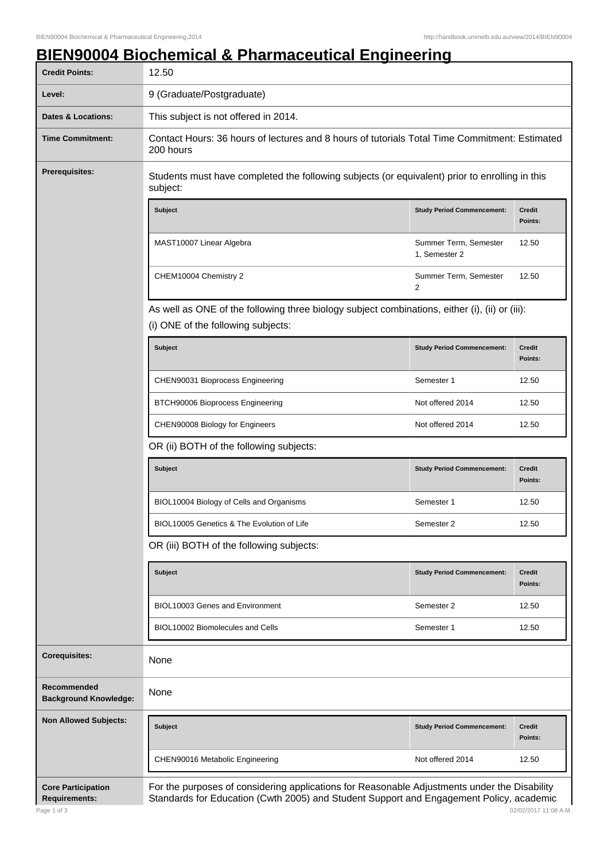## **BIEN90004 Biochemical & Pharmaceutical Engineering**

| <b>Credit Points:</b>                       | 12.50                                                                                                                                |                                        |                          |  |
|---------------------------------------------|--------------------------------------------------------------------------------------------------------------------------------------|----------------------------------------|--------------------------|--|
| Level:                                      | 9 (Graduate/Postgraduate)                                                                                                            |                                        |                          |  |
| Dates & Locations:                          | This subject is not offered in 2014.                                                                                                 |                                        |                          |  |
| <b>Time Commitment:</b>                     | Contact Hours: 36 hours of lectures and 8 hours of tutorials Total Time Commitment: Estimated<br>200 hours                           |                                        |                          |  |
| <b>Prerequisites:</b>                       | Students must have completed the following subjects (or equivalent) prior to enrolling in this<br>subject:                           |                                        |                          |  |
|                                             | <b>Subject</b>                                                                                                                       | <b>Study Period Commencement:</b>      | <b>Credit</b><br>Points: |  |
|                                             | MAST10007 Linear Algebra                                                                                                             | Summer Term, Semester<br>1, Semester 2 | 12.50                    |  |
|                                             | CHEM10004 Chemistry 2                                                                                                                | Summer Term, Semester<br>2             | 12.50                    |  |
|                                             | As well as ONE of the following three biology subject combinations, either (i), (ii) or (iii):<br>(i) ONE of the following subjects: |                                        |                          |  |
|                                             | <b>Subject</b>                                                                                                                       | <b>Study Period Commencement:</b>      | <b>Credit</b><br>Points: |  |
|                                             | CHEN90031 Bioprocess Engineering                                                                                                     | Semester 1                             | 12.50                    |  |
|                                             | BTCH90006 Bioprocess Engineering                                                                                                     | Not offered 2014                       | 12.50                    |  |
|                                             | CHEN90008 Biology for Engineers                                                                                                      | Not offered 2014                       | 12.50                    |  |
|                                             | OR (ii) BOTH of the following subjects:                                                                                              |                                        |                          |  |
|                                             | <b>Subject</b>                                                                                                                       | <b>Study Period Commencement:</b>      | <b>Credit</b><br>Points: |  |
|                                             | BIOL10004 Biology of Cells and Organisms                                                                                             | Semester 1                             | 12.50                    |  |
|                                             | BIOL10005 Genetics & The Evolution of Life                                                                                           | Semester 2                             | 12.50                    |  |
|                                             | OR (iii) BOTH of the following subjects:                                                                                             |                                        |                          |  |
|                                             | <b>Subject</b>                                                                                                                       | <b>Study Period Commencement:</b>      | <b>Credit</b><br>Points: |  |
|                                             | BIOL10003 Genes and Environment                                                                                                      | Semester 2                             | 12.50                    |  |
|                                             | BIOL10002 Biomolecules and Cells                                                                                                     | Semester 1                             | 12.50                    |  |
| <b>Corequisites:</b>                        | None                                                                                                                                 |                                        |                          |  |
| Recommended<br><b>Background Knowledge:</b> | None                                                                                                                                 |                                        |                          |  |
| <b>Non Allowed Subjects:</b>                | <b>Subject</b>                                                                                                                       | <b>Study Period Commencement:</b>      | <b>Credit</b><br>Points: |  |
|                                             | CHEN90016 Metabolic Engineering                                                                                                      | Not offered 2014                       | 12.50                    |  |
| <b>Core Participation</b>                   |                                                                                                                                      |                                        |                          |  |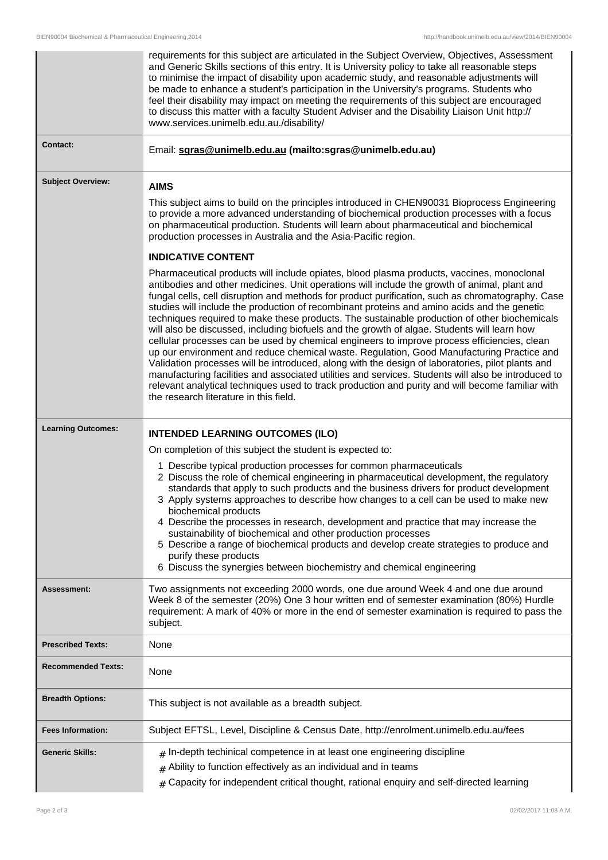|                           | requirements for this subject are articulated in the Subject Overview, Objectives, Assessment<br>and Generic Skills sections of this entry. It is University policy to take all reasonable steps<br>to minimise the impact of disability upon academic study, and reasonable adjustments will<br>be made to enhance a student's participation in the University's programs. Students who<br>feel their disability may impact on meeting the requirements of this subject are encouraged<br>to discuss this matter with a faculty Student Adviser and the Disability Liaison Unit http://<br>www.services.unimelb.edu.au./disability/                                                                                                                                                                                                                                                                                                                                                                                                                                                                                                             |  |
|---------------------------|--------------------------------------------------------------------------------------------------------------------------------------------------------------------------------------------------------------------------------------------------------------------------------------------------------------------------------------------------------------------------------------------------------------------------------------------------------------------------------------------------------------------------------------------------------------------------------------------------------------------------------------------------------------------------------------------------------------------------------------------------------------------------------------------------------------------------------------------------------------------------------------------------------------------------------------------------------------------------------------------------------------------------------------------------------------------------------------------------------------------------------------------------|--|
| <b>Contact:</b>           | Email: sgras@unimelb.edu.au (mailto:sgras@unimelb.edu.au)                                                                                                                                                                                                                                                                                                                                                                                                                                                                                                                                                                                                                                                                                                                                                                                                                                                                                                                                                                                                                                                                                        |  |
| <b>Subject Overview:</b>  | <b>AIMS</b>                                                                                                                                                                                                                                                                                                                                                                                                                                                                                                                                                                                                                                                                                                                                                                                                                                                                                                                                                                                                                                                                                                                                      |  |
|                           | This subject aims to build on the principles introduced in CHEN90031 Bioprocess Engineering<br>to provide a more advanced understanding of biochemical production processes with a focus<br>on pharmaceutical production. Students will learn about pharmaceutical and biochemical<br>production processes in Australia and the Asia-Pacific region.                                                                                                                                                                                                                                                                                                                                                                                                                                                                                                                                                                                                                                                                                                                                                                                             |  |
|                           | <b>INDICATIVE CONTENT</b>                                                                                                                                                                                                                                                                                                                                                                                                                                                                                                                                                                                                                                                                                                                                                                                                                                                                                                                                                                                                                                                                                                                        |  |
|                           | Pharmaceutical products will include opiates, blood plasma products, vaccines, monoclonal<br>antibodies and other medicines. Unit operations will include the growth of animal, plant and<br>fungal cells, cell disruption and methods for product purification, such as chromatography. Case<br>studies will include the production of recombinant proteins and amino acids and the genetic<br>techniques required to make these products. The sustainable production of other biochemicals<br>will also be discussed, including biofuels and the growth of algae. Students will learn how<br>cellular processes can be used by chemical engineers to improve process efficiencies, clean<br>up our environment and reduce chemical waste. Regulation, Good Manufacturing Practice and<br>Validation processes will be introduced, along with the design of laboratories, pilot plants and<br>manufacturing facilities and associated utilities and services. Students will also be introduced to<br>relevant analytical techniques used to track production and purity and will become familiar with<br>the research literature in this field. |  |
| <b>Learning Outcomes:</b> | <b>INTENDED LEARNING OUTCOMES (ILO)</b>                                                                                                                                                                                                                                                                                                                                                                                                                                                                                                                                                                                                                                                                                                                                                                                                                                                                                                                                                                                                                                                                                                          |  |
|                           | On completion of this subject the student is expected to:                                                                                                                                                                                                                                                                                                                                                                                                                                                                                                                                                                                                                                                                                                                                                                                                                                                                                                                                                                                                                                                                                        |  |
|                           | 1 Describe typical production processes for common pharmaceuticals<br>2 Discuss the role of chemical engineering in pharmaceutical development, the regulatory<br>standards that apply to such products and the business drivers for product development<br>3 Apply systems approaches to describe how changes to a cell can be used to make new<br>biochemical products<br>4 Describe the processes in research, development and practice that may increase the<br>sustainability of biochemical and other production processes<br>5 Describe a range of biochemical products and develop create strategies to produce and<br>purify these products<br>6 Discuss the synergies between biochemistry and chemical engineering                                                                                                                                                                                                                                                                                                                                                                                                                    |  |
| <b>Assessment:</b>        | Two assignments not exceeding 2000 words, one due around Week 4 and one due around<br>Week 8 of the semester (20%) One 3 hour written end of semester examination (80%) Hurdle<br>requirement: A mark of 40% or more in the end of semester examination is required to pass the<br>subject.                                                                                                                                                                                                                                                                                                                                                                                                                                                                                                                                                                                                                                                                                                                                                                                                                                                      |  |
| <b>Prescribed Texts:</b>  | None                                                                                                                                                                                                                                                                                                                                                                                                                                                                                                                                                                                                                                                                                                                                                                                                                                                                                                                                                                                                                                                                                                                                             |  |
| <b>Recommended Texts:</b> | None                                                                                                                                                                                                                                                                                                                                                                                                                                                                                                                                                                                                                                                                                                                                                                                                                                                                                                                                                                                                                                                                                                                                             |  |
| <b>Breadth Options:</b>   | This subject is not available as a breadth subject.                                                                                                                                                                                                                                                                                                                                                                                                                                                                                                                                                                                                                                                                                                                                                                                                                                                                                                                                                                                                                                                                                              |  |
| <b>Fees Information:</b>  | Subject EFTSL, Level, Discipline & Census Date, http://enrolment.unimelb.edu.au/fees                                                                                                                                                                                                                                                                                                                                                                                                                                                                                                                                                                                                                                                                                                                                                                                                                                                                                                                                                                                                                                                             |  |
| <b>Generic Skills:</b>    | $#$ In-depth techinical competence in at least one engineering discipline<br>Ability to function effectively as an individual and in teams<br>#<br>Capacity for independent critical thought, rational enquiry and self-directed learning<br>#                                                                                                                                                                                                                                                                                                                                                                                                                                                                                                                                                                                                                                                                                                                                                                                                                                                                                                   |  |